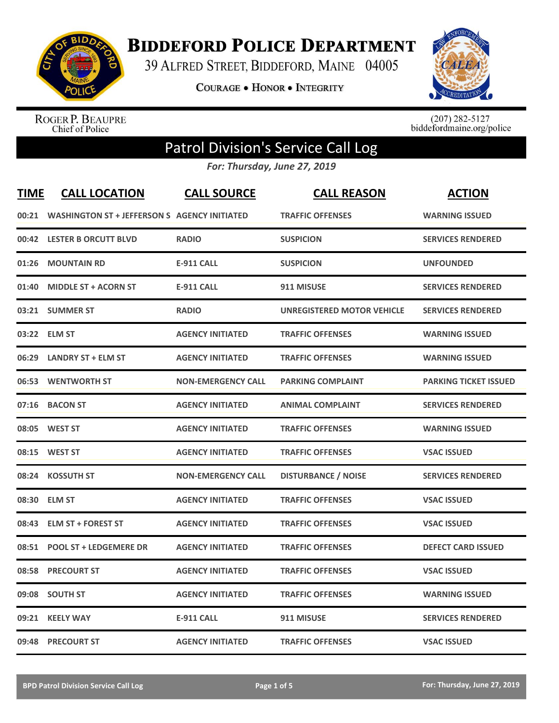

**BIDDEFORD POLICE DEPARTMENT** 

39 ALFRED STREET, BIDDEFORD, MAINE 04005

**COURAGE . HONOR . INTEGRITY** 



ROGER P. BEAUPRE<br>Chief of Police

 $(207)$  282-5127<br>biddefordmaine.org/police

## Patrol Division's Service Call Log

*For: Thursday, June 27, 2019*

| <b>TIME</b> | <b>CALL LOCATION</b>                                | <b>CALL SOURCE</b>        | <b>CALL REASON</b>         | <b>ACTION</b>                |
|-------------|-----------------------------------------------------|---------------------------|----------------------------|------------------------------|
| 00:21       | <b>WASHINGTON ST + JEFFERSON S AGENCY INITIATED</b> |                           | <b>TRAFFIC OFFENSES</b>    | <b>WARNING ISSUED</b>        |
|             | 00:42 LESTER B ORCUTT BLVD                          | <b>RADIO</b>              | <b>SUSPICION</b>           | <b>SERVICES RENDERED</b>     |
| 01:26       | <b>MOUNTAIN RD</b>                                  | <b>E-911 CALL</b>         | <b>SUSPICION</b>           | <b>UNFOUNDED</b>             |
| 01:40       | <b>MIDDLE ST + ACORN ST</b>                         | <b>E-911 CALL</b>         | 911 MISUSE                 | <b>SERVICES RENDERED</b>     |
| 03:21       | <b>SUMMER ST</b>                                    | <b>RADIO</b>              | UNREGISTERED MOTOR VEHICLE | <b>SERVICES RENDERED</b>     |
|             | 03:22 ELM ST                                        | <b>AGENCY INITIATED</b>   | <b>TRAFFIC OFFENSES</b>    | <b>WARNING ISSUED</b>        |
| 06:29       | <b>LANDRY ST + ELM ST</b>                           | <b>AGENCY INITIATED</b>   | <b>TRAFFIC OFFENSES</b>    | <b>WARNING ISSUED</b>        |
| 06:53       | <b>WENTWORTH ST</b>                                 | <b>NON-EMERGENCY CALL</b> | <b>PARKING COMPLAINT</b>   | <b>PARKING TICKET ISSUED</b> |
|             | 07:16 BACON ST                                      | <b>AGENCY INITIATED</b>   | <b>ANIMAL COMPLAINT</b>    | <b>SERVICES RENDERED</b>     |
|             | 08:05 WEST ST                                       | <b>AGENCY INITIATED</b>   | <b>TRAFFIC OFFENSES</b>    | <b>WARNING ISSUED</b>        |
|             | 08:15 WEST ST                                       | <b>AGENCY INITIATED</b>   | <b>TRAFFIC OFFENSES</b>    | <b>VSAC ISSUED</b>           |
| 08:24       | <b>KOSSUTH ST</b>                                   | <b>NON-EMERGENCY CALL</b> | <b>DISTURBANCE / NOISE</b> | <b>SERVICES RENDERED</b>     |
| 08:30       | <b>ELM ST</b>                                       | <b>AGENCY INITIATED</b>   | <b>TRAFFIC OFFENSES</b>    | <b>VSAC ISSUED</b>           |
| 08:43       | <b>ELM ST + FOREST ST</b>                           | <b>AGENCY INITIATED</b>   | <b>TRAFFIC OFFENSES</b>    | <b>VSAC ISSUED</b>           |
| 08:51       | <b>POOL ST + LEDGEMERE DR</b>                       | <b>AGENCY INITIATED</b>   | <b>TRAFFIC OFFENSES</b>    | <b>DEFECT CARD ISSUED</b>    |
| 08:58       | <b>PRECOURT ST</b>                                  | <b>AGENCY INITIATED</b>   | <b>TRAFFIC OFFENSES</b>    | <b>VSAC ISSUED</b>           |
| 09:08       | <b>SOUTH ST</b>                                     | <b>AGENCY INITIATED</b>   | <b>TRAFFIC OFFENSES</b>    | <b>WARNING ISSUED</b>        |
| 09:21       | <b>KEELY WAY</b>                                    | <b>E-911 CALL</b>         | 911 MISUSE                 | <b>SERVICES RENDERED</b>     |
|             | 09:48 PRECOURT ST                                   | <b>AGENCY INITIATED</b>   | <b>TRAFFIC OFFENSES</b>    | <b>VSAC ISSUED</b>           |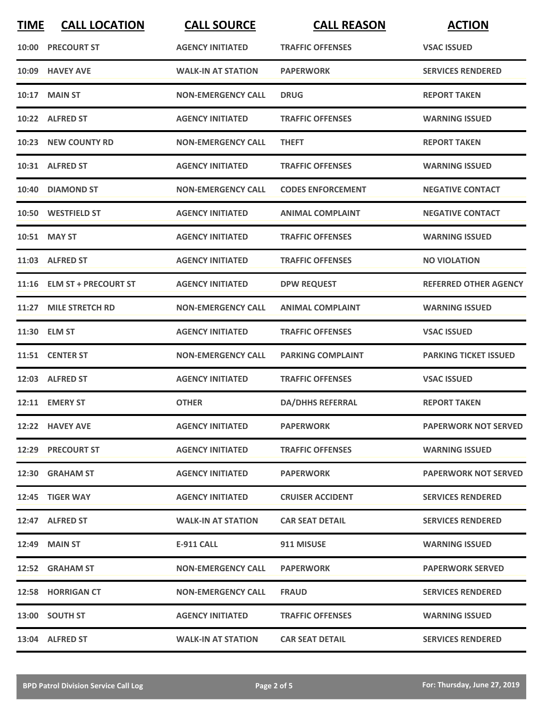| <b>TIME</b> | <b>CALL LOCATION</b>       | <b>CALL SOURCE</b>        | <b>CALL REASON</b>       | <b>ACTION</b>                |
|-------------|----------------------------|---------------------------|--------------------------|------------------------------|
|             | <b>10:00 PRECOURT ST</b>   | <b>AGENCY INITIATED</b>   | <b>TRAFFIC OFFENSES</b>  | <b>VSAC ISSUED</b>           |
| 10:09       | <b>HAVEY AVE</b>           | <b>WALK-IN AT STATION</b> | <b>PAPERWORK</b>         | <b>SERVICES RENDERED</b>     |
| 10:17       | <b>MAIN ST</b>             | <b>NON-EMERGENCY CALL</b> | <b>DRUG</b>              | <b>REPORT TAKEN</b>          |
|             | 10:22 ALFRED ST            | <b>AGENCY INITIATED</b>   | <b>TRAFFIC OFFENSES</b>  | <b>WARNING ISSUED</b>        |
|             | 10:23 NEW COUNTY RD        | <b>NON-EMERGENCY CALL</b> | <b>THEFT</b>             | <b>REPORT TAKEN</b>          |
|             | 10:31 ALFRED ST            | <b>AGENCY INITIATED</b>   | <b>TRAFFIC OFFENSES</b>  | <b>WARNING ISSUED</b>        |
| 10:40       | <b>DIAMOND ST</b>          | <b>NON-EMERGENCY CALL</b> | <b>CODES ENFORCEMENT</b> | <b>NEGATIVE CONTACT</b>      |
|             | 10:50 WESTFIELD ST         | <b>AGENCY INITIATED</b>   | <b>ANIMAL COMPLAINT</b>  | <b>NEGATIVE CONTACT</b>      |
|             | 10:51 MAY ST               | <b>AGENCY INITIATED</b>   | <b>TRAFFIC OFFENSES</b>  | <b>WARNING ISSUED</b>        |
|             | 11:03 ALFRED ST            | <b>AGENCY INITIATED</b>   | <b>TRAFFIC OFFENSES</b>  | <b>NO VIOLATION</b>          |
|             | 11:16 ELM ST + PRECOURT ST | <b>AGENCY INITIATED</b>   | <b>DPW REQUEST</b>       | <b>REFERRED OTHER AGENCY</b> |
| 11:27       | <b>MILE STRETCH RD</b>     | <b>NON-EMERGENCY CALL</b> | <b>ANIMAL COMPLAINT</b>  | <b>WARNING ISSUED</b>        |
| 11:30       | <b>ELM ST</b>              | <b>AGENCY INITIATED</b>   | <b>TRAFFIC OFFENSES</b>  | <b>VSAC ISSUED</b>           |
|             | 11:51 CENTER ST            | <b>NON-EMERGENCY CALL</b> | <b>PARKING COMPLAINT</b> | <b>PARKING TICKET ISSUED</b> |
|             | 12:03 ALFRED ST            | <b>AGENCY INITIATED</b>   | <b>TRAFFIC OFFENSES</b>  | <b>VSAC ISSUED</b>           |
|             | 12:11 EMERY ST             | <b>OTHER</b>              | <b>DA/DHHS REFERRAL</b>  | <b>REPORT TAKEN</b>          |
|             | 12:22 HAVEY AVE            | <b>AGENCY INITIATED</b>   | <b>PAPERWORK</b>         | <b>PAPERWORK NOT SERVED</b>  |
|             | 12:29 PRECOURT ST          | <b>AGENCY INITIATED</b>   | <b>TRAFFIC OFFENSES</b>  | <b>WARNING ISSUED</b>        |
|             | 12:30 GRAHAM ST            | <b>AGENCY INITIATED</b>   | <b>PAPERWORK</b>         | <b>PAPERWORK NOT SERVED</b>  |
|             | 12:45 TIGER WAY            | <b>AGENCY INITIATED</b>   | <b>CRUISER ACCIDENT</b>  | <b>SERVICES RENDERED</b>     |
|             | 12:47 ALFRED ST            | <b>WALK-IN AT STATION</b> | <b>CAR SEAT DETAIL</b>   | <b>SERVICES RENDERED</b>     |
|             | <b>12:49 MAIN ST</b>       | E-911 CALL                | 911 MISUSE               | <b>WARNING ISSUED</b>        |
|             | 12:52 GRAHAM ST            | <b>NON-EMERGENCY CALL</b> | <b>PAPERWORK</b>         | <b>PAPERWORK SERVED</b>      |
|             | 12:58 HORRIGAN CT          | <b>NON-EMERGENCY CALL</b> | <b>FRAUD</b>             | <b>SERVICES RENDERED</b>     |
|             | 13:00 SOUTH ST             | <b>AGENCY INITIATED</b>   | <b>TRAFFIC OFFENSES</b>  | <b>WARNING ISSUED</b>        |
|             | 13:04 ALFRED ST            | <b>WALK-IN AT STATION</b> | <b>CAR SEAT DETAIL</b>   | <b>SERVICES RENDERED</b>     |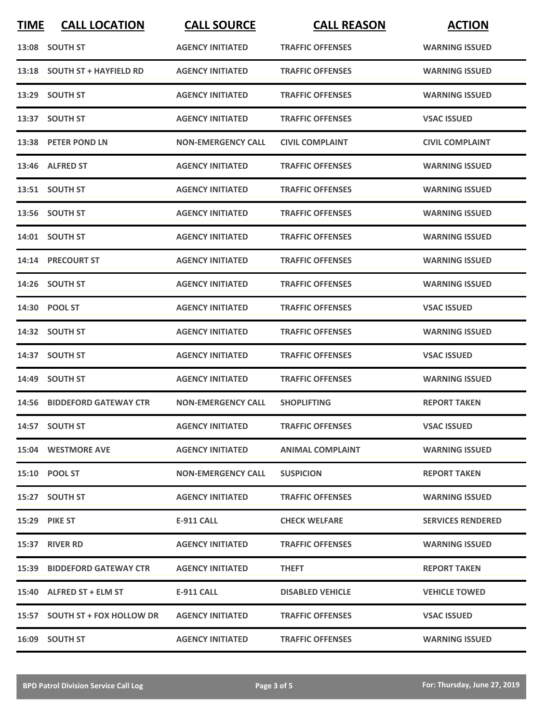| <b>TIME</b> | <b>CALL LOCATION</b>           | <b>CALL SOURCE</b>        | <b>CALL REASON</b>      | <b>ACTION</b>            |
|-------------|--------------------------------|---------------------------|-------------------------|--------------------------|
|             | 13:08 SOUTH ST                 | <b>AGENCY INITIATED</b>   | <b>TRAFFIC OFFENSES</b> | <b>WARNING ISSUED</b>    |
|             | 13:18 SOUTH ST + HAYFIELD RD   | <b>AGENCY INITIATED</b>   | <b>TRAFFIC OFFENSES</b> | <b>WARNING ISSUED</b>    |
|             | 13:29 SOUTH ST                 | <b>AGENCY INITIATED</b>   | <b>TRAFFIC OFFENSES</b> | <b>WARNING ISSUED</b>    |
|             | 13:37 SOUTH ST                 | <b>AGENCY INITIATED</b>   | <b>TRAFFIC OFFENSES</b> | <b>VSAC ISSUED</b>       |
|             | 13:38 PETER POND LN            | <b>NON-EMERGENCY CALL</b> | <b>CIVIL COMPLAINT</b>  | <b>CIVIL COMPLAINT</b>   |
|             | 13:46 ALFRED ST                | <b>AGENCY INITIATED</b>   | <b>TRAFFIC OFFENSES</b> | <b>WARNING ISSUED</b>    |
|             | 13:51 SOUTH ST                 | <b>AGENCY INITIATED</b>   | <b>TRAFFIC OFFENSES</b> | <b>WARNING ISSUED</b>    |
|             | 13:56 SOUTH ST                 | <b>AGENCY INITIATED</b>   | <b>TRAFFIC OFFENSES</b> | <b>WARNING ISSUED</b>    |
|             | 14:01 SOUTH ST                 | <b>AGENCY INITIATED</b>   | <b>TRAFFIC OFFENSES</b> | <b>WARNING ISSUED</b>    |
|             | 14:14 PRECOURT ST              | <b>AGENCY INITIATED</b>   | <b>TRAFFIC OFFENSES</b> | <b>WARNING ISSUED</b>    |
|             | 14:26 SOUTH ST                 | <b>AGENCY INITIATED</b>   | <b>TRAFFIC OFFENSES</b> | <b>WARNING ISSUED</b>    |
|             | 14:30 POOL ST                  | <b>AGENCY INITIATED</b>   | <b>TRAFFIC OFFENSES</b> | <b>VSAC ISSUED</b>       |
|             | 14:32 SOUTH ST                 | <b>AGENCY INITIATED</b>   | <b>TRAFFIC OFFENSES</b> | <b>WARNING ISSUED</b>    |
|             | 14:37 SOUTH ST                 | <b>AGENCY INITIATED</b>   | <b>TRAFFIC OFFENSES</b> | <b>VSAC ISSUED</b>       |
|             | 14:49 SOUTH ST                 | <b>AGENCY INITIATED</b>   | <b>TRAFFIC OFFENSES</b> | <b>WARNING ISSUED</b>    |
|             | 14:56 BIDDEFORD GATEWAY CTR    | <b>NON-EMERGENCY CALL</b> | <b>SHOPLIFTING</b>      | <b>REPORT TAKEN</b>      |
|             | 14:57 SOUTH ST                 | <b>AGENCY INITIATED</b>   | <b>TRAFFIC OFFENSES</b> | <b>VSAC ISSUED</b>       |
|             | 15:04 WESTMORE AVE             | <b>AGENCY INITIATED</b>   | ANIMAL COMPLAINT        | <b>WARNING ISSUED</b>    |
|             | <b>15:10 POOL ST</b>           | <b>NON-EMERGENCY CALL</b> | <b>SUSPICION</b>        | <b>REPORT TAKEN</b>      |
|             | 15:27 SOUTH ST                 | <b>AGENCY INITIATED</b>   | <b>TRAFFIC OFFENSES</b> | <b>WARNING ISSUED</b>    |
|             | <b>15:29 PIKE ST</b>           | E-911 CALL                | <b>CHECK WELFARE</b>    | <b>SERVICES RENDERED</b> |
|             | 15:37 RIVER RD                 | <b>AGENCY INITIATED</b>   | <b>TRAFFIC OFFENSES</b> | <b>WARNING ISSUED</b>    |
|             | 15:39 BIDDEFORD GATEWAY CTR    | <b>AGENCY INITIATED</b>   | <b>THEFT</b>            | <b>REPORT TAKEN</b>      |
|             | 15:40 ALFRED ST + ELM ST       | <b>E-911 CALL</b>         | <b>DISABLED VEHICLE</b> | <b>VEHICLE TOWED</b>     |
|             | 15:57 SOUTH ST + FOX HOLLOW DR | <b>AGENCY INITIATED</b>   | <b>TRAFFIC OFFENSES</b> | <b>VSAC ISSUED</b>       |
|             | 16:09 SOUTH ST                 | <b>AGENCY INITIATED</b>   | <b>TRAFFIC OFFENSES</b> | <b>WARNING ISSUED</b>    |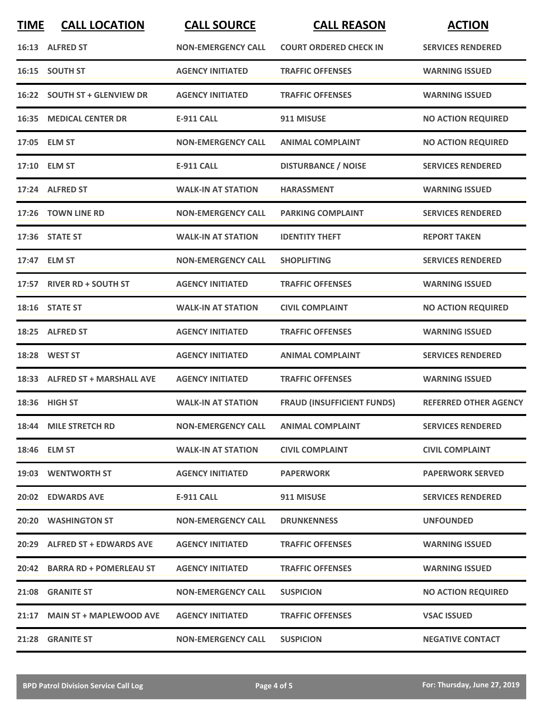| <b>TIME</b> | <b>CALL LOCATION</b>            | <b>CALL SOURCE</b>        | <b>CALL REASON</b>                | <b>ACTION</b>                |
|-------------|---------------------------------|---------------------------|-----------------------------------|------------------------------|
|             | 16:13 ALFRED ST                 | <b>NON-EMERGENCY CALL</b> | <b>COURT ORDERED CHECK IN</b>     | <b>SERVICES RENDERED</b>     |
|             | 16:15 SOUTH ST                  | <b>AGENCY INITIATED</b>   | <b>TRAFFIC OFFENSES</b>           | <b>WARNING ISSUED</b>        |
|             | 16:22 SOUTH ST + GLENVIEW DR    | <b>AGENCY INITIATED</b>   | <b>TRAFFIC OFFENSES</b>           | <b>WARNING ISSUED</b>        |
|             | <b>16:35 MEDICAL CENTER DR</b>  | <b>E-911 CALL</b>         | 911 MISUSE                        | <b>NO ACTION REQUIRED</b>    |
|             | 17:05 ELM ST                    | <b>NON-EMERGENCY CALL</b> | <b>ANIMAL COMPLAINT</b>           | <b>NO ACTION REQUIRED</b>    |
|             | 17:10 ELM ST                    | <b>E-911 CALL</b>         | <b>DISTURBANCE / NOISE</b>        | <b>SERVICES RENDERED</b>     |
|             | 17:24 ALFRED ST                 | <b>WALK-IN AT STATION</b> | <b>HARASSMENT</b>                 | <b>WARNING ISSUED</b>        |
| 17:26       | <b>TOWN LINE RD</b>             | <b>NON-EMERGENCY CALL</b> | <b>PARKING COMPLAINT</b>          | <b>SERVICES RENDERED</b>     |
|             | 17:36 STATE ST                  | <b>WALK-IN AT STATION</b> | <b>IDENTITY THEFT</b>             | <b>REPORT TAKEN</b>          |
|             | 17:47 ELM ST                    | <b>NON-EMERGENCY CALL</b> | <b>SHOPLIFTING</b>                | <b>SERVICES RENDERED</b>     |
|             | 17:57 RIVER RD + SOUTH ST       | <b>AGENCY INITIATED</b>   | <b>TRAFFIC OFFENSES</b>           | <b>WARNING ISSUED</b>        |
|             | 18:16 STATE ST                  | <b>WALK-IN AT STATION</b> | <b>CIVIL COMPLAINT</b>            | <b>NO ACTION REQUIRED</b>    |
|             | 18:25 ALFRED ST                 | <b>AGENCY INITIATED</b>   | <b>TRAFFIC OFFENSES</b>           | <b>WARNING ISSUED</b>        |
| 18:28       | <b>WEST ST</b>                  | <b>AGENCY INITIATED</b>   | <b>ANIMAL COMPLAINT</b>           | <b>SERVICES RENDERED</b>     |
| 18:33       | <b>ALFRED ST + MARSHALL AVE</b> | <b>AGENCY INITIATED</b>   | <b>TRAFFIC OFFENSES</b>           | <b>WARNING ISSUED</b>        |
|             | 18:36 HIGH ST                   | <b>WALK-IN AT STATION</b> | <b>FRAUD (INSUFFICIENT FUNDS)</b> | <b>REFERRED OTHER AGENCY</b> |
|             | 18:44 MILE STRETCH RD           | <b>NON-EMERGENCY CALL</b> | <b>ANIMAL COMPLAINT</b>           | <b>SERVICES RENDERED</b>     |
|             | 18:46 ELM ST                    | <b>WALK-IN AT STATION</b> | <b>CIVIL COMPLAINT</b>            | <b>CIVIL COMPLAINT</b>       |
|             | 19:03 WENTWORTH ST              | <b>AGENCY INITIATED</b>   | <b>PAPERWORK</b>                  | <b>PAPERWORK SERVED</b>      |
|             | 20:02 EDWARDS AVE               | <b>E-911 CALL</b>         | 911 MISUSE                        | <b>SERVICES RENDERED</b>     |
|             | 20:20 WASHINGTON ST             | <b>NON-EMERGENCY CALL</b> | <b>DRUNKENNESS</b>                | <b>UNFOUNDED</b>             |
|             | 20:29 ALFRED ST + EDWARDS AVE   | <b>AGENCY INITIATED</b>   | <b>TRAFFIC OFFENSES</b>           | <b>WARNING ISSUED</b>        |
|             | 20:42 BARRA RD + POMERLEAU ST   | <b>AGENCY INITIATED</b>   | <b>TRAFFIC OFFENSES</b>           | <b>WARNING ISSUED</b>        |
|             | 21:08 GRANITE ST                | <b>NON-EMERGENCY CALL</b> | <b>SUSPICION</b>                  | <b>NO ACTION REQUIRED</b>    |
|             | 21:17 MAIN ST + MAPLEWOOD AVE   | <b>AGENCY INITIATED</b>   | <b>TRAFFIC OFFENSES</b>           | <b>VSAC ISSUED</b>           |
|             | 21:28 GRANITE ST                | <b>NON-EMERGENCY CALL</b> | <b>SUSPICION</b>                  | <b>NEGATIVE CONTACT</b>      |